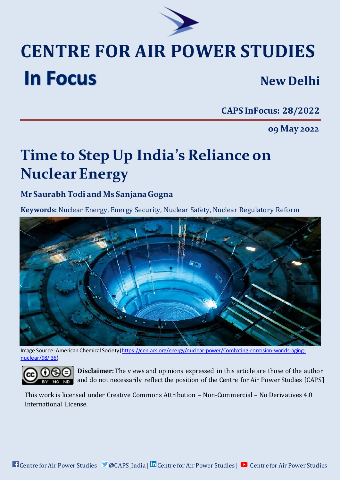

## **CENTRE FOR AIR POWER STUDIES In Focus New Delhi**

**CAPS InFocus: 28/2022**

**09 May 2022**

# **Time to Step Up India's Reliance on Nuclear Energy**

## **Mr Saurabh Todi and Ms Sanjana Gogna**

**Keywords:** Nuclear Energy, Energy Security, Nuclear Safety, Nuclear Regulatory Reform



Image Source: American Chemical Society [\(https://cen.acs.org/energy/nuclear-power/Combating-corrosion-worlds-aging](https://cen.acs.org/energy/nuclear-power/Combating-corrosion-worlds-aging-nuclear/98/i36)[nuclear/98/i36](https://cen.acs.org/energy/nuclear-power/Combating-corrosion-worlds-aging-nuclear/98/i36))



**Disclaimer:**[The views and opinions expressed in this article are those of the author](http://creativecommons.org/licenses/by-nc-nd/4.0/)  [and do not necessarily reflect the position of the Centre for Air Power Studies \[CAPS\]](http://creativecommons.org/licenses/by-nc-nd/4.0/)

This work is [licensed under Creative Commons Attribution](http://creativecommons.org/licenses/by-nc-nd/4.0/) – Non-Commercial – No Derivatives 4.0 [International License.](http://creativecommons.org/licenses/by-nc-nd/4.0/)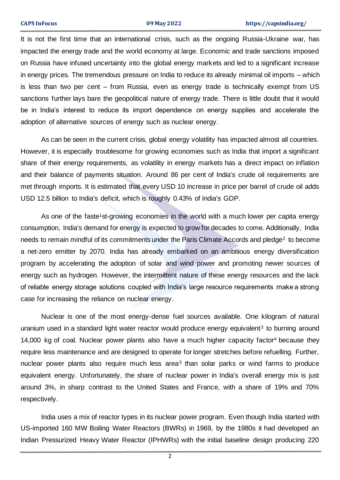It is not the first time that an international crisis, such as the ongoing Russia-Ukraine war, has impacted the energy trade and the world economy at large. Economic and trade sanctions imposed on Russia have infused uncertainty into the global energy markets and led to a significant increase in energy prices. The tremendous pressure on India to reduce its already minimal oil imports – which is less than two per cent – from Russia, even as energy trade is technically exempt from US sanctions further lays bare the geopolitical nature of energy trade. There is little doubt that it would be in India's interest to reduce its import dependence on energy supplies and accelerate the adoption of alternative sources of energy such as nuclear energy.

As can be seen in the current crisis, global energy volatility has impacted almost all countries. However, it is especially troublesome for growing economies such as India that import a significant share of their energy requirements, as volatility in energy markets has a direct impact on inflation and their balance of payments situation. Around 86 per cent of India's crude oil requirements are met through imports. It is estimated that every USD 10 increase in price per barrel of crude oil adds USD 12.5 billion to India's deficit, which is roughly 0.43% of India's GDP.

As one of the faste<sup>1</sup>st-growing economies in the world with a much lower per capita energy consumption, India's demand for energy is expected to grow for decades to come. Additionally, India needs to remain mindful of its commitments under the Paris Climate Accords and pledge<sup>2</sup> to become a net-zero emitter by 2070. India has already embarked on an ambitious energy diversification program by accelerating the adoption of solar and wind power and promoting newer sources of energy such as hydrogen. However, the intermittent nature of these energy resources and the lack of reliable energy storage solutions coupled with India's large resource requirements make a strong case for increasing the reliance on nuclear energy.

Nuclear is one of the most energy-dense fuel sources available. One kilogram of natural uranium used in a standard light water reactor would produce energy equivalent<sup>3</sup> to burning around 14,000 kg of coal. Nuclear power plants also have a much higher capacity factor<sup>4</sup> because they require less maintenance and are designed to operate for longer stretches before refuelling. Further, nuclear power plants also require much less area<sup>5</sup> than solar parks or wind farms to produce equivalent energy. Unfortunately, the share of nuclear power in India's overall energy mix is just around 3%, in sharp contrast to the United States and France, with a share of 19% and 70% respectively.

India uses a mix of reactor types in its nuclear power program. Even though India started with US-imported 160 MW Boiling Water Reactors (BWRs) in 1969, by the 1980s it had developed an Indian Pressurized Heavy Water Reactor (IPHWRs) with the initial baseline design producing 220

2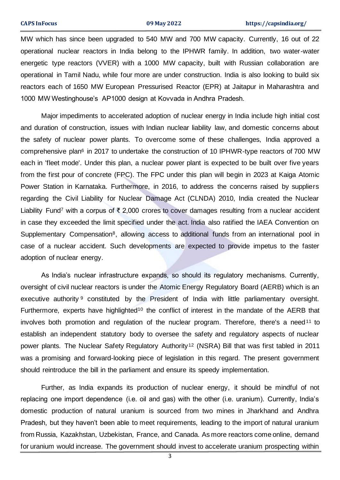MW which has since been upgraded to 540 MW and 700 MW capacity. Currently, 16 out of 22 operational nuclear reactors in India belong to the IPHWR family. In addition, two water-water energetic type reactors (VVER) with a 1000 MW capacity, built with Russian collaboration are operational in Tamil Nadu, while four more are under construction. India is also looking to build six reactors each of 1650 MW European Pressurised Reactor (EPR) at Jaitapur in Maharashtra and 1000 MW Westinghouse's AP1000 design at Kovvada in Andhra Pradesh.

Major impediments to accelerated adoption of nuclear energy in India include high initial cost and duration of construction, issues with Indian nuclear liability law, and domestic concerns about the safety of nuclear power plants. To overcome some of these challenges, India approved a comprehensive plan<sup>6</sup> in 2017 to undertake the construction of 10 IPHWR-type reactors of 700 MW each in 'fleet mode'. Under this plan, a nuclear power plant is expected to be built over five years from the first pour of concrete (FPC). The FPC under this plan will begin in 2023 at Kaiga Atomic Power Station in Karnataka. Furthermore, in 2016, to address the concerns raised by suppliers regarding the Civil Liability for Nuclear Damage Act (CLNDA) 2010, India created the Nuclear Liability Fund<sup>7</sup> with a corpus of ₹ 2,000 crores to cover damages resulting from a nuclear accident in case they exceeded the limit specified under the act. India also ratified the IAEA Convention on Supplementary Compensation<sup>8</sup>, allowing access to additional funds from an international pool in case of a nuclear accident. Such developments are expected to provide impetus to the faster adoption of nuclear energy.

As India's nuclear infrastructure expands, so should its regulatory mechanisms. Currently, oversight of civil nuclear reactors is under the Atomic Energy Regulatory Board (AERB) which is an executive authority<sup>9</sup> constituted by the President of India with little parliamentary oversight. Furthermore, experts have highlighted<sup>10</sup> the conflict of interest in the mandate of the AERB that involves both promotion and regulation of the nuclear program. Therefore, there's a need<sup>11</sup> to establish an independent statutory body to oversee the safety and regulatory aspects of nuclear power plants. The Nuclear Safety Regulatory Authority<sup>12</sup> (NSRA) Bill that was first tabled in 2011 was a promising and forward-looking piece of legislation in this regard. The present government should reintroduce the bill in the parliament and ensure its speedy implementation.

Further, as India expands its production of nuclear energy, it should be mindful of not replacing one import dependence (i.e. oil and gas) with the other (i.e. uranium). Currently, India's domestic production of natural uranium is sourced from two mines in Jharkhand and Andhra Pradesh, but they haven't been able to meet requirements, leading to the import of natural uranium from Russia, Kazakhstan, Uzbekistan, France, and Canada. As more reactors come online, demand for uranium would increase. The government should invest to accelerate uranium prospecting within

3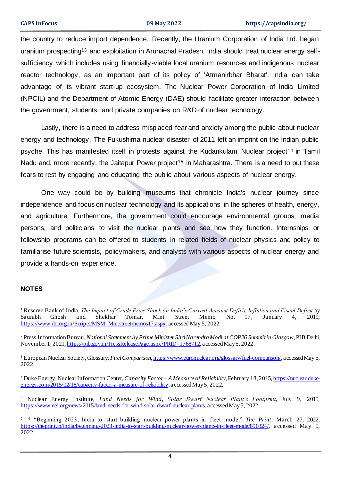the country to reduce import dependence. Recently, the Uranium Corporation of India Ltd. began uranium prospecting<sup>13</sup> and exploitation in Arunachal Pradesh. India should treat nuclear energy selfsufficiency, which includes using financially-viable local uranium resources and indigenous nuclear reactor technology, as an important part of its policy of 'Atmanirbhar Bharat'. India can take advantage of its vibrant start-up ecosystem. The Nuclear Power Corporation of India Limited (NPCIL) and the Department of Atomic Energy (DAE) should facilitate greater interaction between the government, students, and private companies on R&D of nuclear technology.

Lastly, there is a need to address misplaced fear and anxiety among the public about nuclear energy and technology. The Fukushima nuclear disaster of 2011 left an imprint on the Indian public psyche. This has manifested itself in protests against the Kudankulam Nuclear project<sup>14</sup> in Tamil Nadu and, more recently, the Jaitapur Power project<sup>15</sup> in Maharashtra. There is a need to put these fears to rest by engaging and educating the public about various aspects of nuclear energy.

One way could be by building museums that chronicle India's nuclear journey since independence and focus on nuclear technology and its applications in the spheres of health, energy, and agriculture. Furthermore, the government could encourage environmental groups, media persons, and politicians to visit the nuclear plants and see how they function. Internships or fellowship programs can be offered to students in related fields of nuclear physics and policy to familiarise future scientists, policymakers, and analysts with various aspects of nuclear energy and provide a hands-on experience.

### **NOTES**

<sup>1</sup> Reserve Bank of India, *The Impact of Crude Price Shock on India's Current Account Deficit, Inflation and Fiscal Deficit* by Saurabh Ghosh and Shekhar Tomar, Mint Street Memo No. 17, January 4, 2019, [https://www.rbi.org.in/Scripts/MSM\\_Mintstreetmemos17.aspx](https://www.rbi.org.in/Scripts/MSM_Mintstreetmemos17.aspx), accessed May 5, 2022.

<sup>2</sup> Press Information Bureau, *National Statement by Prime Minister Shri Narendra Modi at COP26 Summit in Glasgow*, PIB Delhi, November 1, 202[1, https://pib.gov.in/PressReleasePage.aspx?PRID=1768712](https://pib.gov.in/PressReleasePage.aspx?PRID=1768712), accessed May 5, 2022.

<sup>3</sup> European Nuclear Society, Glossary, *Fuel Comparison*[, https://www.euronuclear.org/glossary/fuel-comparison/](https://www.euronuclear.org/glossary/fuel-comparison/), accessed May 5, 2022.

<sup>4</sup> Duke Energy, Nuclear Information Center, *Capacity Factor – A Measure of Reliability*, February 18, 2015[, https://nuclear.duke](https://nuclear.duke-energy.com/2015/02/18/capacity-factor-a-measure-of-reliability)[energy.com/2015/02/18/capacity-factor-a-measure-of-reliability,](https://nuclear.duke-energy.com/2015/02/18/capacity-factor-a-measure-of-reliability) accessed May 5, 2022.

<sup>5</sup> Nuclear Energy Institute, *Land Needs for Wind, Solar Dwarf Nuclear Plant's Footprint*, July 9, 2015, <https://www.nei.org/news/2015/land-needs-for-wind-solar-dwarf-nuclear-plants>, accessed May 5, 2022.

<sup>6</sup> <sup>6</sup> "Beginning 2023, India to start building nuclear power plants in fleet mode," *The Print*, March 27, 2022, <https://theprint.in/india/beginning-2023-india-to-start-building-nuclear-power-plants-in-fleet-mode/890324/>, accessed May 5, 2022.